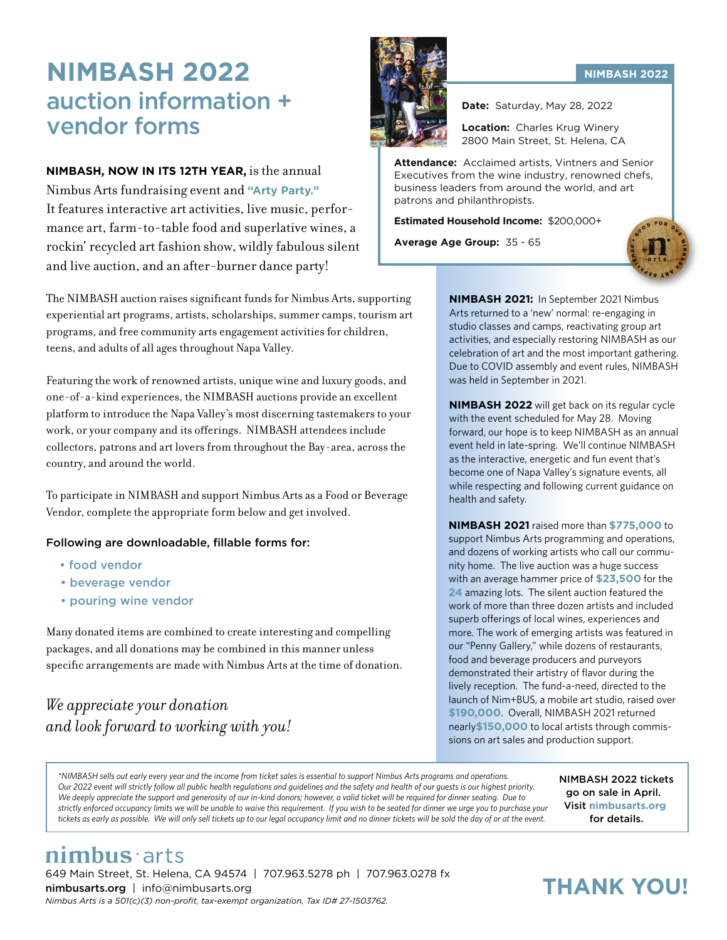## **NIMBASH 2022** auction information + vendor forms

#### **NIMBASH, NOW IN ITS 12TH YEAR,** is the annual

Nimbus Arts fundraising event and **"Arty Party."** It features interactive art activities, live music, performance art, farm-to-table food and superlative wines, a rockin' recycled art fashion show, wildly fabulous silent and live auction, and an after-burner dance party!

The NIMBASH auction raises significant funds for Nimbus Arts, supporting experiential art programs, artists, scholarships, summer camps, tourism art programs, and free community arts engagement activities for children, teens, and adults of all ages throughout Napa Valley.

Featuring the work of renowned artists, unique wine and luxury goods, and one-of-a-kind experiences, the NIMBASH auctions provide an excellent platform to introduce the Napa Valley's most discerning tastemakers to your work, or your company and its offerings. NIMBASH attendees include collectors, patrons and art lovers from throughout the Bay-area, across the country, and around the world.

To participate in NIMBASH and support Nimbus Arts as a Food or Beverage Vendor, complete the appropriate form below and get involved.

#### Following are downloadable, fillable forms for:

- food vendor
- beverage vendor
- pouring wine vendor

Many donated items are combined to create interesting and compelling packages, and all donations may be combined in this manner unless specific arrangements are made with Nimbus Arts at the time of donation.

#### *We appreciate your donation and look forward to working with you!*



**Date:** Saturday, May 28, 2022

**Location:** Charles Krug Winery 2800 Main Street, St. Helena, CA

**Attendance:** Acclaimed artists, Vintners and Senior Executives from the wine industry, renowned chefs, business leaders from around the world, and art patrons and philanthropists.

**Estimated Household Income:** \$200,000+

**Average Age Group:** 35 - 65



**NIMBASH 2021:** In September 2021 Nimbus Arts returned to a 'new' normal: re-engaging in studio classes and camps, reactivating group art activities, and especially restoring NIMBASH as our celebration of art and the most important gathering. Due to COVID assembly and event rules, NIMBASH was held in September in 2021.

**NIMBASH 2022** will get back on its regular cycle with the event scheduled for May 28. Moving forward, our hope is to keep NIMBASH as an annual event held in late-spring. We'll continue NIMBASH as the interactive, energetic and fun event that's become one of Napa Valley's signature events, all while respecting and following current guidance on health and safety.

**NIMBASH 2021** raised more than **\$775,000** to support Nimbus Arts programming and operations, and dozens of working artists who call our community home. The live auction was a huge success with an average hammer price of **\$23,500** for the **24** amazing lots. The silent auction featured the work of more than three dozen artists and included superb offerings of local wines, experiences and more. The work of emerging artists was featured in our "Penny Gallery," while dozens of restaurants, food and beverage producers and purveyors demonstrated their artistry of flavor during the lively reception. The fund-a-need, directed to the launch of Nim+BUS, a mobile art studio, raised over **\$190,000**. Overall, NIMBASH 2021 returned nearly**\$150,000** to local artists through commissions on art sales and production support.

*\*NIMBASH sells out early every year and the income from ticket sales is essential to support Nimbus Arts programs and operations. Our 2022 event will strictly follow all public health regulations and guidelines and the safety and health of our guests is our highest priority. We deeply appreciate the support and generosity of our in-kind donors; however, a valid ticket will be required for dinner seating. Due to strictly enforced occupancy limits we will be unable to waive this requirement. If you wish to be seated for dinner we urge you to purchase your tickets as early as possible. We will only sell tickets up to our legal occupancy limit and no dinner tickets will be sold the day of or at the event.*

NIMBASH 2022 tickets go on sale in April. Visit **nimbusarts.org** for details.

#### **NIMBASH 2022**

nimbus arts 649 Main Street, St. Helena, CA 94574 | 707.963.5278 ph | 707.963.0278 fx nimbusarts.org | info@nimbusarts.org *Nimbus Arts is a 501(c)(3) non-profit, tax-exempt organization, Tax ID# 27-1503762.*

## **THANK YOU!**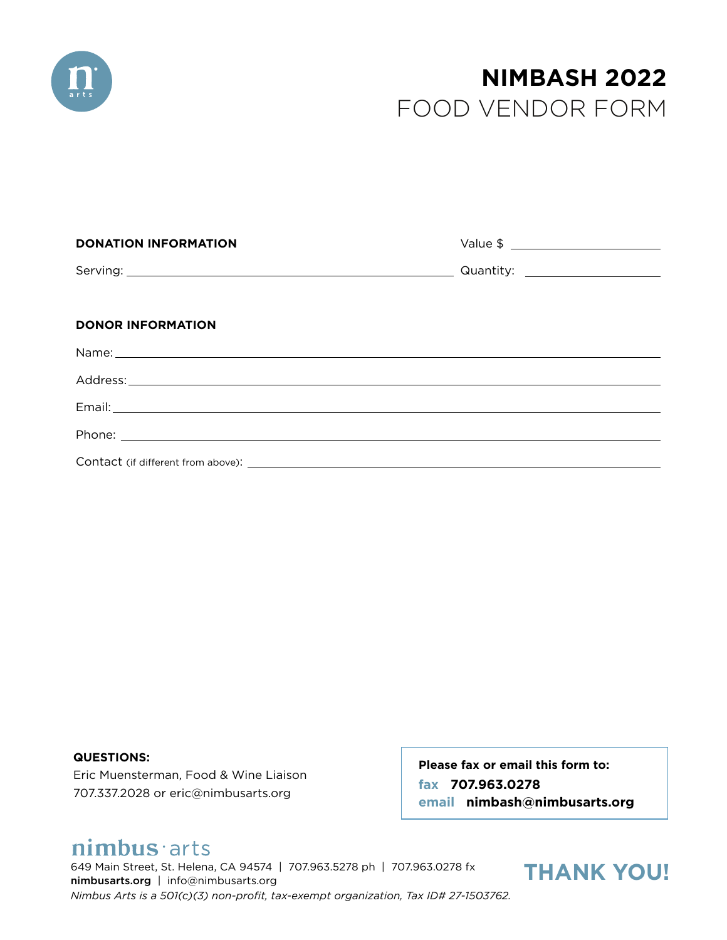

## FOOD VENDOR FORM **NIMBASH 2022**

| <b>DONATION INFORMATION</b> |                                  |
|-----------------------------|----------------------------------|
|                             | Quantity: ______________________ |
|                             |                                  |
| <b>DONOR INFORMATION</b>    |                                  |
|                             |                                  |
|                             |                                  |
|                             |                                  |
|                             |                                  |
|                             |                                  |

**QUESTIONS:**

Eric Muensterman, Food & Wine Liaison 707.337.2028 or eric@nimbusarts.org

**Please fax or email this form to: fax 707.963.0278 email nimbash@nimbusarts.org**

## nimbus arts

649 Main Street, St. Helena, CA 94574 | 707.963.5278 ph | 707.963.0278 fx nimbusarts.org | info@nimbusarts.org *Nimbus Arts is a 501(c)(3) non-profit, tax-exempt organization, Tax ID# 27-1503762.*

## **THANK YOU!**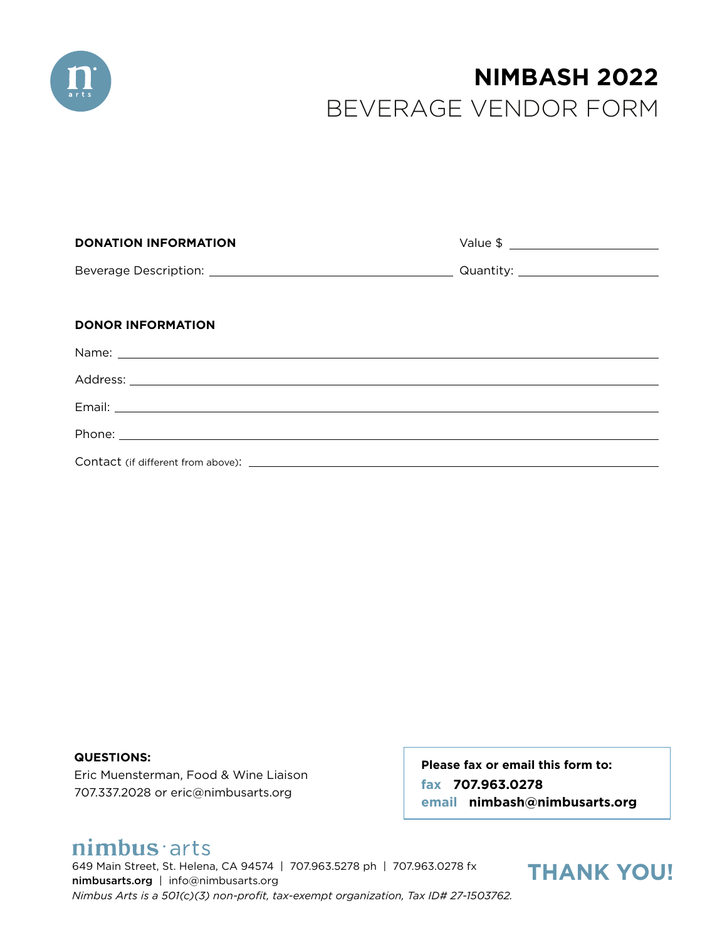

# BEVERAGE VENDOR FORM **NIMBASH 2022**

| <b>DONATION INFORMATION</b>                                                                                                                                                                                                          |  |
|--------------------------------------------------------------------------------------------------------------------------------------------------------------------------------------------------------------------------------------|--|
|                                                                                                                                                                                                                                      |  |
| <b>DONOR INFORMATION</b>                                                                                                                                                                                                             |  |
|                                                                                                                                                                                                                                      |  |
|                                                                                                                                                                                                                                      |  |
|                                                                                                                                                                                                                                      |  |
| Phone: <u>New York: All and State Communications and State Communications and State Communications and State Communications and State Communications and State Communications and State Communications and State Communications </u> |  |
|                                                                                                                                                                                                                                      |  |

**QUESTIONS:** Eric Muensterman, Food & Wine Liaison 707.337.2028 or eric@nimbusarts.org

**Please fax or email this form to: fax 707.963.0278 email nimbash@nimbusarts.org**

## nimbus arts

649 Main Street, St. Helena, CA 94574 | 707.963.5278 ph | 707.963.0278 fx nimbusarts.org | info@nimbusarts.org *Nimbus Arts is a 501(c)(3) non-profit, tax-exempt organization, Tax ID# 27-1503762.*